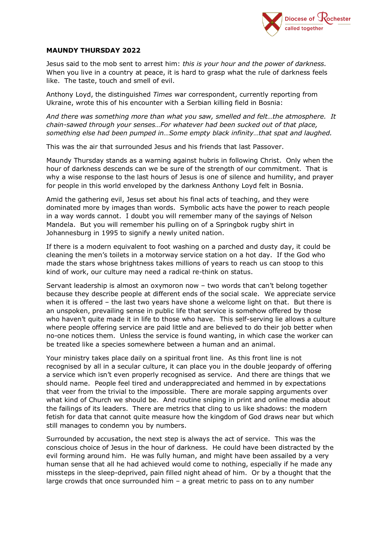

## **MAUNDY THURSDAY 2022**

Jesus said to the mob sent to arrest him: *this is your hour and the power of darkness.*  When you live in a country at peace, it is hard to grasp what the rule of darkness feels like. The taste, touch and smell of evil.

Anthony Loyd, the distinguished *Times* war correspondent, currently reporting from Ukraine, wrote this of his encounter with a Serbian killing field in Bosnia:

*And there was something more than what you saw, smelled and felt…the atmosphere. It chain-sawed through your senses…For whatever had been sucked out of that place, something else had been pumped in…Some empty black infinity…that spat and laughed.*

This was the air that surrounded Jesus and his friends that last Passover.

Maundy Thursday stands as a warning against hubris in following Christ. Only when the hour of darkness descends can we be sure of the strength of our commitment. That is why a wise response to the last hours of Jesus is one of silence and humility, and prayer for people in this world enveloped by the darkness Anthony Loyd felt in Bosnia.

Amid the gathering evil, Jesus set about his final acts of teaching, and they were dominated more by images than words. Symbolic acts have the power to reach people in a way words cannot. I doubt you will remember many of the sayings of Nelson Mandela. But you will remember his pulling on of a Springbok rugby shirt in Johannesburg in 1995 to signify a newly united nation.

If there is a modern equivalent to foot washing on a parched and dusty day, it could be cleaning the men's toilets in a motorway service station on a hot day. If the God who made the stars whose brightness takes millions of years to reach us can stoop to this kind of work, our culture may need a radical re-think on status.

Servant leadership is almost an oxymoron now – two words that can't belong together because they describe people at different ends of the social scale. We appreciate service when it is offered – the last two years have shone a welcome light on that. But there is an unspoken, prevailing sense in public life that service is somehow offered by those who haven't quite made it in life to those who have. This self-serving lie allows a culture where people offering service are paid little and are believed to do their job better when no-one notices them. Unless the service is found wanting, in which case the worker can be treated like a species somewhere between a human and an animal.

Your ministry takes place daily on a spiritual front line. As this front line is not recognised by all in a secular culture, it can place you in the double jeopardy of offering a service which isn't even properly recognised as service. And there are things that we should name. People feel tired and underappreciated and hemmed in by expectations that veer from the trivial to the impossible. There are morale sapping arguments over what kind of Church we should be. And routine sniping in print and online media about the failings of its leaders. There are metrics that cling to us like shadows: the modern fetish for data that cannot quite measure how the kingdom of God draws near but which still manages to condemn you by numbers.

Surrounded by accusation, the next step is always the act of service. This was the conscious choice of Jesus in the hour of darkness. He could have been distracted by the evil forming around him. He was fully human, and might have been assailed by a very human sense that all he had achieved would come to nothing, especially if he made any missteps in the sleep-deprived, pain filled night ahead of him. Or by a thought that the large crowds that once surrounded him  $-$  a great metric to pass on to any number